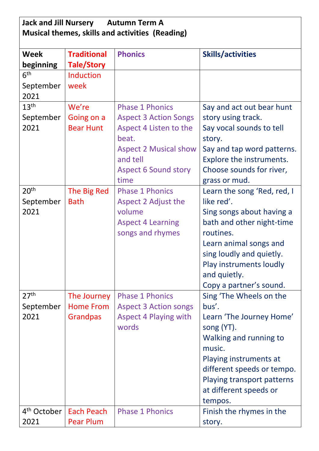| <b>Jack and Jill Nursery</b><br><b>Autumn Term A</b><br>Musical themes, skills and activities (Reading) |                                |                                 |                                      |  |
|---------------------------------------------------------------------------------------------------------|--------------------------------|---------------------------------|--------------------------------------|--|
| <b>Week</b>                                                                                             | <b>Traditional</b>             | <b>Phonics</b>                  | <b>Skills/activities</b>             |  |
| beginning                                                                                               | <b>Tale/Story</b>              |                                 |                                      |  |
| 6 <sup>th</sup>                                                                                         | Induction                      |                                 |                                      |  |
| September                                                                                               | week                           |                                 |                                      |  |
| 2021<br>13 <sup>th</sup>                                                                                | We're                          | <b>Phase 1 Phonics</b>          |                                      |  |
|                                                                                                         |                                |                                 | Say and act out bear hunt            |  |
| September<br>2021                                                                                       | Going on a<br><b>Bear Hunt</b> | <b>Aspect 3 Action Songs</b>    | story using track.                   |  |
|                                                                                                         |                                | Aspect 4 Listen to the<br>beat. | Say vocal sounds to tell             |  |
|                                                                                                         |                                | <b>Aspect 2 Musical show</b>    | story.<br>Say and tap word patterns. |  |
|                                                                                                         |                                | and tell                        | Explore the instruments.             |  |
|                                                                                                         |                                | <b>Aspect 6 Sound story</b>     | Choose sounds for river,             |  |
|                                                                                                         |                                | time                            | grass or mud.                        |  |
| 20 <sup>th</sup>                                                                                        | The Big Red                    | <b>Phase 1 Phonics</b>          | Learn the song 'Red, red, I          |  |
| September                                                                                               | <b>Bath</b>                    | Aspect 2 Adjust the             | like red'.                           |  |
| 2021                                                                                                    |                                | volume                          | Sing songs about having a            |  |
|                                                                                                         |                                | <b>Aspect 4 Learning</b>        | bath and other night-time            |  |
|                                                                                                         |                                | songs and rhymes                | routines.                            |  |
|                                                                                                         |                                |                                 | Learn animal songs and               |  |
|                                                                                                         |                                |                                 | sing loudly and quietly.             |  |
|                                                                                                         |                                |                                 | Play instruments loudly              |  |
|                                                                                                         |                                |                                 | and quietly.                         |  |
|                                                                                                         |                                |                                 | Copy a partner's sound.              |  |
| 27 <sup>th</sup>                                                                                        | The Journey                    | <b>Phase 1 Phonics</b>          | Sing 'The Wheels on the              |  |
| September                                                                                               | <b>Home From</b>               | <b>Aspect 3 Action songs</b>    | bus'.                                |  |
| 2021                                                                                                    | <b>Grandpas</b>                | <b>Aspect 4 Playing with</b>    | Learn 'The Journey Home'             |  |
|                                                                                                         |                                | words                           | song (YT).                           |  |
|                                                                                                         |                                |                                 | Walking and running to               |  |
|                                                                                                         |                                |                                 | music.                               |  |
|                                                                                                         |                                |                                 | Playing instruments at               |  |
|                                                                                                         |                                |                                 | different speeds or tempo.           |  |
|                                                                                                         |                                |                                 | Playing transport patterns           |  |
|                                                                                                         |                                |                                 | at different speeds or               |  |
|                                                                                                         |                                |                                 | tempos.                              |  |
| 4 <sup>th</sup> October                                                                                 | <b>Each Peach</b>              | <b>Phase 1 Phonics</b>          | Finish the rhymes in the             |  |
| 2021                                                                                                    | <b>Pear Plum</b>               |                                 | story.                               |  |